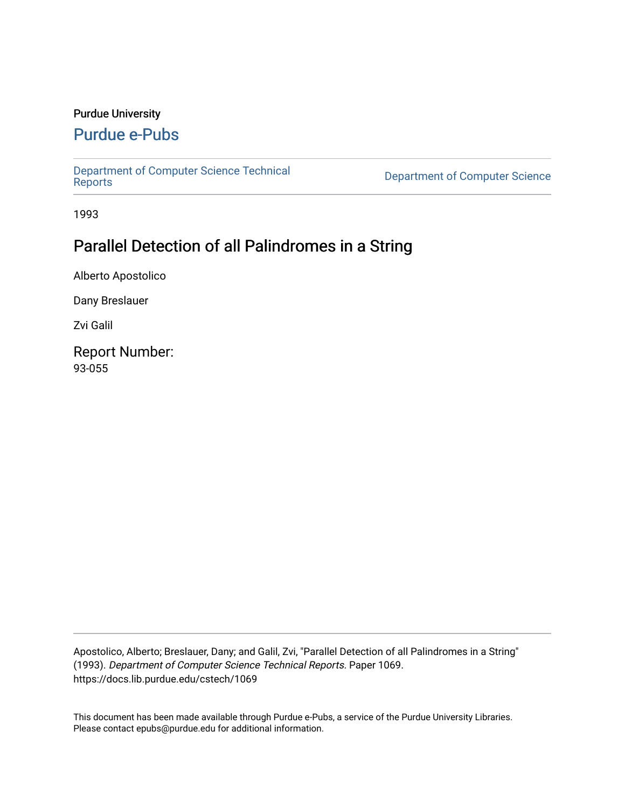### Purdue University

### [Purdue e-Pubs](https://docs.lib.purdue.edu/)

[Department of Computer Science Technical](https://docs.lib.purdue.edu/cstech) 

**Department of Computer Science** 

1993

# Parallel Detection of all Palindromes in a String

Alberto Apostolico

Dany Breslauer

Zvi Galil

Report Number: 93-055

Apostolico, Alberto; Breslauer, Dany; and Galil, Zvi, "Parallel Detection of all Palindromes in a String" (1993). Department of Computer Science Technical Reports. Paper 1069. https://docs.lib.purdue.edu/cstech/1069

This document has been made available through Purdue e-Pubs, a service of the Purdue University Libraries. Please contact epubs@purdue.edu for additional information.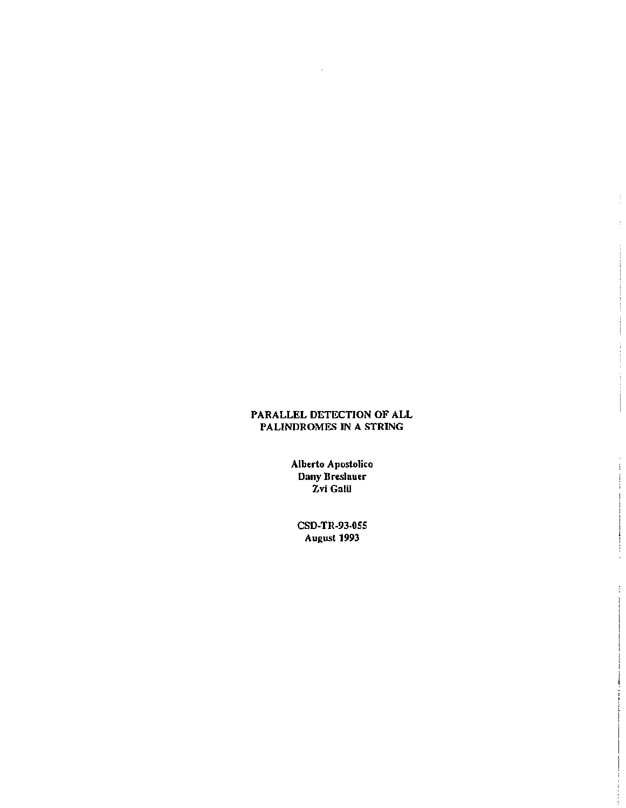### PARALLEL DETECTION OF ALL PALINDROMES IN A STRING

 $\ddot{\phantom{a}}$ 

Ì.

Alberto Apostolico<br>Dany Breslauer<br>Zvi Galil

CSD-TR-93-055 August 1993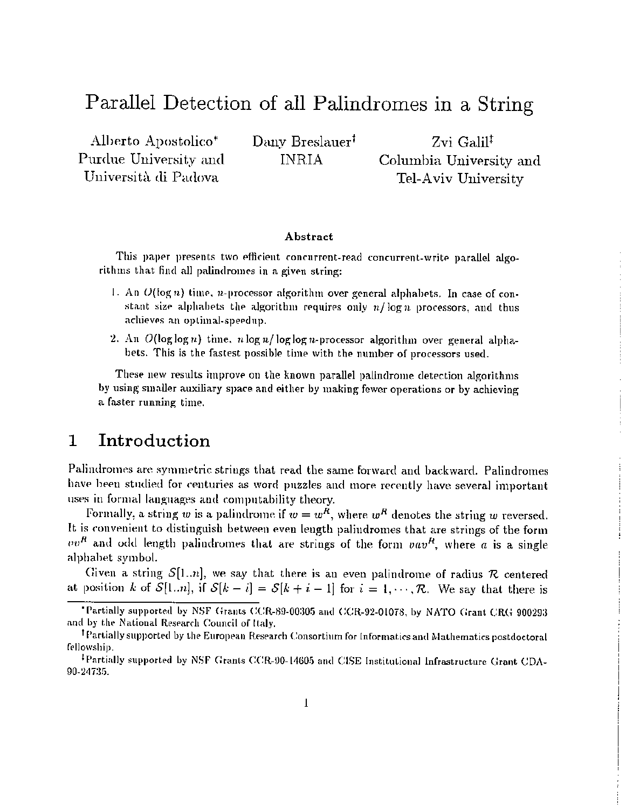# Parallel Detection of all Palindromes in a String

Alberto Apostolico<sup>\*</sup> Purdue University and Università di Padova

Dany Breslauer<sup>†</sup> **INRIA** 

Zvi Galil<sup>‡</sup> Columbia University and Tel-Aviv University

#### Abstract

This paper presents two efficient concurrent-read concurrent-write parallel algorithms that find all palindromes in a given string:

- 1. An  $O(\log n)$  time, *n*-processor algorithm over general alphabets. In case of constant size alphabets the algorithm requires only  $n/\log n$  processors, and thus achieves an optimal-speedup.
- 2. An  $O(\log \log n)$  time,  $n \log n / \log \log n$ -processor algorithm over general alphabets. This is the fastest possible time with the number of processors used.

These new results improve on the known parallel palindrome detection algorithms by using smaller auxiliary space and either by making fewer operations or by achieving a faster running time.

#### $\mathbf{1}$ Introduction

Palindromes are symmetric strings that read the same forward and backward. Palindromes have been studied for centuries as word puzzles and more recently have several important uses in formal languages and computability theory.

Formally, a string w is a palindrome if  $w = w^R$ , where  $w^R$  denotes the string w reversed. It is convenient to distinguish between even length palindromes that are strings of the form  $vv^R$  and odd length palindromes that are strings of the form  $vav^R$ , where a is a single alphabet symbol.

Given a string  $S[1..n]$ , we say that there is an even palindrome of radius R centered at position k of  $S[1..n]$ , if  $S[k-i] = S[k+i-1]$  for  $i = 1, \dots, \mathcal{R}$ . We say that there is

<sup>&</sup>quot;Partially supported by NSF Grants CCR-89-00305 and CCR-92-01078, by NATO Grant CRG 900293 and by the National Research Council of Italy.

<sup>&</sup>lt;sup>†</sup> Partially supported by the European Research Consortium for Informatics and Mathematics postdoctoral fellowship.

<sup>&</sup>lt;sup>1</sup>Partially supported by NSF Grants CCR-90-14605 and CISE Institutional Infrastructure Grant CDA-90-24735.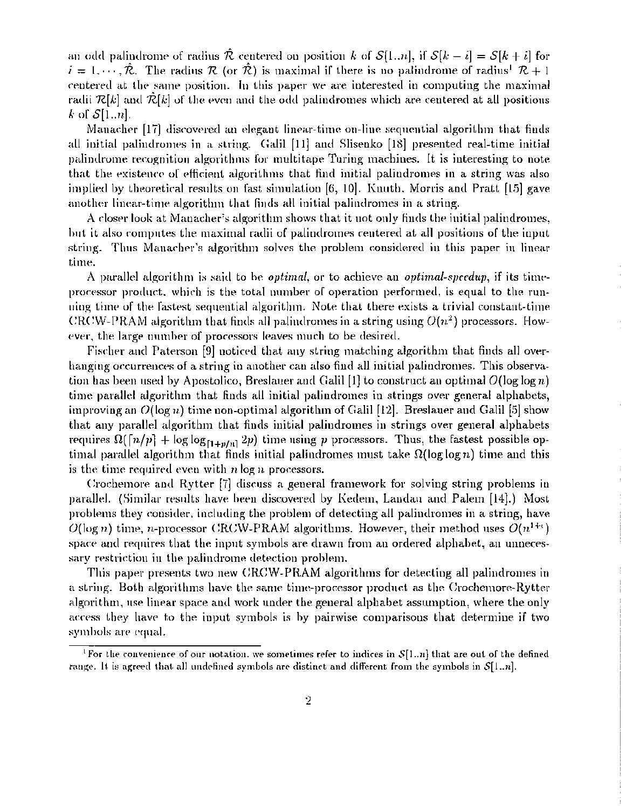an odd palindrome of radius  $\hat{\mathcal{R}}$  centered on position k of  $\mathcal{S}[1..n],$  if  $\mathcal{S}[k-i] = \mathcal{S}[k+i]$  for  $i = 1, \dots, \hat{\mathcal{R}}$ . The radius  $\mathcal{R}$  (or  $\hat{\mathcal{R}}$ ) is maximal if there is no palindrome of radius<sup>1</sup>  $\mathcal{R}$  + 1 centered at the same position. In this paper we are interested in computing the maximal radii  $\mathcal{R}[k]$  and  $\mathcal{R}[k]$  of the even and the odd palindromes which are centered at all positions k of  $S[1..n]$ .

Manacher  $[17]$  discovered an elegant linear-time on-line sequential algorithm that finds all initial palindromes in a string. Galil [11] and Slisenko [18] presented real-time initial palindrome recognition algorithms for multitape Turing machines. It is interesting to note that the existence of efficient algorithms that find initial palindromes in a string was also implied by theoretical results on fast simulation [6, 10]. Knuth, Morris and Pratt [15] gave another linear-time algorithm that finds all initial palindromes in a string.

A closer look at Manacher's algorithm shows that it not only finds the initial palindromes, but it also computes the maximal radii of palindromes centered at all positions of the input string. Thus Manacher's algorithm solves the problem considered in this paper in linear time.

A parallel algorithm is said to be *optimal*, or to achieve an *optimal-speedup*, if its timeprocessor product, which is the total number of operation performed, is equal to the running time of the fastest sequential algorithm. Note that there exists a trivial constant-time CRCW-PRAM algorithm that finds all palindromes in a string using  $O(n^2)$  processors. However, the large number of processors leaves much to be desired.

Fischer and Paterson  $[9]$  noticed that any string matching algorithm that finds all overhanging occurrences of a string in another can also find all initial palindromes. This observation has been used by Apostolico, Breslauer and Galil [1] to construct an optimal  $O(\log \log n)$ time parallel algorithm that finds all initial palindromes in strings over general alphabets, improving an  $O(\log n)$  time non-optimal algorithm of Galil [12]. Breslauer and Galil [5] show that any parallel algorithm that finds initial palindromes in strings over general alphabets requires  $\Omega([n/p] + \log \log_{[1+p/n]} 2p)$  time using *p* processors. Thus, the fastest possible optimal parallel algorithm that finds initial palindromes must take  $\Omega(\log \log n)$  time and this is the time required even with  $n \log n$  processors.

(:rochemore and Rytter [i] discuss a general framework for solving string problems in parallel. (Similar results have been discovered by Kedem, Landau and Palem [14].) Most problems they consider, including the problem of detecting all palindromes in a string, have  $O(\log n)$  time,  $n$ -processor <code>CRCW-PRAM</code> algorithms. However, their method uses  $O(n^{1+\epsilon})$ space and requires that the input symbols are drawn from an ordered alphabet, an unnecessary restriction in the palindrome detection problem.

This paper presents two new CRCW-PRAM algorithms for detecting all palindromes in a string. Both algorithms have the same time-processor prodnct as the Crochemore-Rytter algorithm, use linear space and work under the general alphabet assumption, where the only access they have to the input symbols is by pairwise comparisons that determine if two symbols are equal.

<sup>&</sup>lt;sup>1</sup> For the convenience of our notation, we sometimes refer to indices in  $\mathcal{S}[1..n]$  that are out of the defined range. It is agreed that all undefined symbols are distinct and different from the symbols in  $\mathcal{S}[1..n]$ .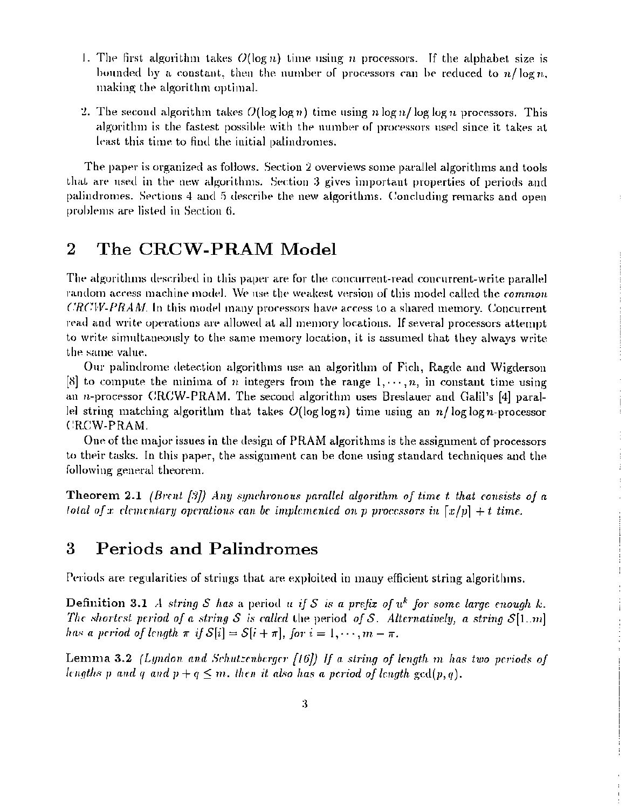- 1. The first algorithm takes  $O(\log n)$  time using  $n$  processors. If the alphabet size is bounded by a constant, then the number of processors can be reduced to  $n/\log n$ . making the algorithm optimal.
- 2. The second algorithm takes  $O(\log \log n)$  time using *n* log n/log log *n* processors. This algorithm is the fastest possible with the number of processors used since it takes at least this time to find the initial palindromes.

The paper is organized as follows. Section 2 overviews some parallel algorithms and tools that are used in the new algorithms. Section 3 gives important properties of periods and palindromes. Sections 4 and 5 describe the new algorithms. Concluding remarks and open problems are listed in Section 6.

# 2 The CRCW-PRAM Model

*The algorithms described in this paper are for the concurrent-read concurrent-write parallel* random access machine model. We use the weakest version of this model called the *common*  $CRCW-PRAM$ . In this model many processors have access to a shared memory. Concurrent read and write operations are allowed at all memory locations. If several processors attempt to write simultaneously to the same memory location, it is assumed that they always write the same value.

Our palindrome detection algorithms use an algorithm of Fich, Ragde and Wigderson [8] to compute the minima of *n* integers from the range  $1, \dots, n$ , in constant time using an *n*-processor CRCW-PRAM. The second algorithm uses Breslauer and Galil's [4] paral-Iel string matching algorithm that takes  $O(\log \log n)$  time using an  $n/\log \log n$ -processor CRCW-PRAM.

One of the major issues in the design of PRAM algorithms is the assignment of processors to their tasks. In this paper, the assignment can be done using standard techniques and the following general theorem.

Theorem 2.1 *(Brent. f."/J) Any 8Y1lchronOlls parallel algorithm of time* t *that consists of a fotal of* x *clementary operations can be implemented on p processors in*  $\lceil x/p \rceil + t$  *time.* 

## 3 Periods and Palindromes

Periods are regularities of strings that are exploited in many efficient string algorithms.

Definition 3.1 *A string S has* a period *u if S is a prefix of*  $u^k$  *for some large enough k*. *The shortest period of a string S* is called the period *of S. Alternatively, a string*  $S[1..m]$ *has a period of length*  $\pi$  *if*  $S[i] = S[i + \pi]$ , *for*  $i = 1, \dots, m - \pi$ .

Lemma 3.2 *(Lyndon and Schutzenberger [16])* If *a string of length* m has two periods of *fengths p* and *q* and  $p + q \leq m$ , then it also has a period of *length*  $gcd(p, q)$ .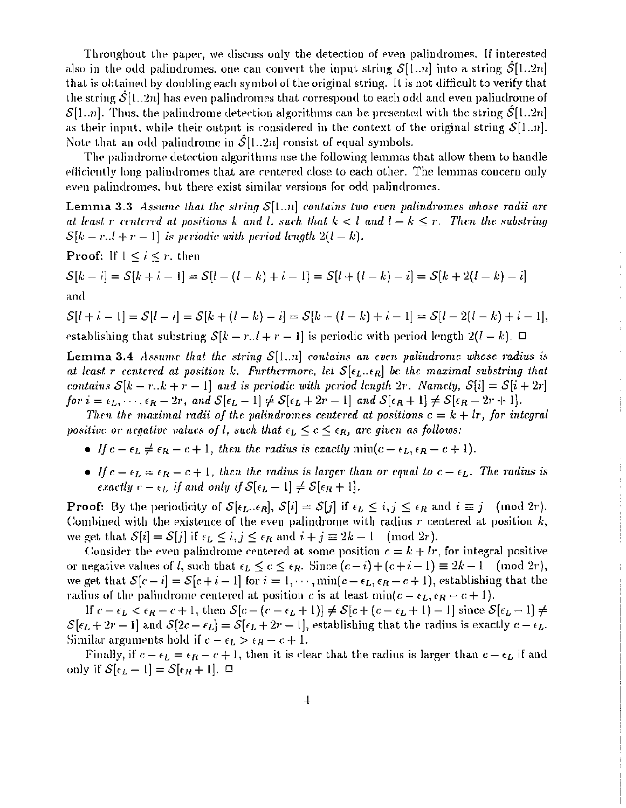Throughout the paper, we discuss only the detection of even palindromes. If interested also in the odd palindromes, one can convert the input string  $S[1..n]$  into a string  $S[1..2n]$ that is obtained by doubling each symbol of the original string. It is not difficult to verify that the string  $S[1..2n]$  has even palindromes that correspond to each odd and even palindrome of  $\mathcal{S}[1..n]$ . Thus, the palindrome detection algorithms can be presented with the string  $\mathcal{S}[1..2n]$ as their input, while their output is considered in the context of the original string  $\mathcal{S}[1..n]$ . Note that an odd palindrome in  $\mathcal{S}[1..2n]$  consist of equal symbols.

The palindrome detection algorithms use the following lemmas that allow them to handle efficiently long palindromes that are centered close to each other. The lemmas concern only even palindromes, but there exist similar versions for odd palindromes.

**Lemma 3.3** Assume that the string  $S[1..n]$  contains two even palindromes whose radii are at least r centered at positions k and l, such that  $k < l$  and  $l - k \le r$ . Then the substring  $S[k-r..l+r-1]$  is periodic with period length  $2(l-k)$ .

**Proof:** If  $1 \leq i \leq r$ , then

 $S[k-i] = S[k+i-1] = S[l-(l-k)+i-1] = S[l+(l-k)-i] = S[k+2(l-k)-i]$ and

$$
\mathcal{S}[l+i-1] = \mathcal{S}[l-i] = \mathcal{S}[k+(l-k)-i] = \mathcal{S}[k-(l-k)+i-1] = \mathcal{S}[l-2(l-k)+i-1],
$$
 establishing that substring  $\mathcal{S}[k-r..l+r-1]$  is periodic with period length  $2(l-k)$ .  $\Box$ 

**Lemma 3.4** Assume that the string  $S[1..n]$  contains an even palindrome whose radius is at least r centered at position k. Furthermore, let  $S[\epsilon_L, \epsilon_R]$  be the maximal substring that contains  $S[k-r..k+r-1]$  and is periodic with period length 2r. Namely,  $S[i] = S[i+2r]$ for  $i = \epsilon_L, \dots, \epsilon_R - 2r$ , and  $S[\epsilon_L - 1] \neq S[\epsilon_L + 2r - 1]$  and  $S[\epsilon_R + 1] \neq S[\epsilon_R - 2r + 1]$ .

Then the maximal radii of the palindromes centered at positions  $c = k + lr$ , for integral positive or negative values of l, such that  $\epsilon_L \leq c \leq \epsilon_R$ , are given as follows:

- If  $c \epsilon_L \neq \epsilon_R c + 1$ , then the radius is exactly  $\min(c \epsilon_L, \epsilon_R c + 1)$ .
- If  $c \epsilon_L = \epsilon_R c + 1$ , then the radius is larger than or equal to  $c \epsilon_L$ . The radius is exactly  $c - \epsilon_L$  if and only if  $S[\epsilon_L - 1] \neq S[\epsilon_R + 1]$ .

**Proof:** By the periodicity of  $S[\epsilon_L \dots \epsilon_R], S[i] = S[j]$  if  $\epsilon_L \le i, j \le \epsilon_R$  and  $i \equiv j \pmod{2r}$ . Combined with the existence of the even palindrome with radius  $r$  centered at position  $k$ , we get that  $S[i] = S[j]$  if  $\epsilon_L \leq i, j \leq \epsilon_R$  and  $i + j \equiv 2k - 1 \pmod{2r}$ .

Consider the even palindrome centered at some position  $c = k + lr$ , for integral positive or negative values of *l*, such that  $\epsilon_L \leq c \leq \epsilon_R$ . Since  $(c-i)+(c+i-1) \equiv 2k-1 \pmod{2r}$ , we get that  $S[c-i] = S[c+i-1]$  for  $i = 1, \dots, \min(c-\epsilon_L, \epsilon_R - c + 1)$ , establishing that the radius of the palindrome centered at position c is at least  $min(c - \epsilon_L, \epsilon_R - c + 1)$ .

If  $c - \epsilon_L < \epsilon_R - c + 1$ , then  $S[c - (c - \epsilon_L + 1)] \neq S[c + (c - \epsilon_L + 1) - 1]$  since  $S[\epsilon_L - 1] \neq$  $S[\epsilon_L + 2r - 1]$  and  $S[2c - \epsilon_L] = S[\epsilon_L + 2r - 1]$ , establishing that the radius is exactly  $c - \epsilon_L$ . Similar arguments hold if  $c - \epsilon_L > \epsilon_R - c + 1$ .

Finally, if  $c - \epsilon_L = \epsilon_R - c + 1$ , then it is clear that the radius is larger than  $c - \epsilon_L$  if and only if  $S[\epsilon_L - 1] = S[\epsilon_R + 1]$ .  $\Box$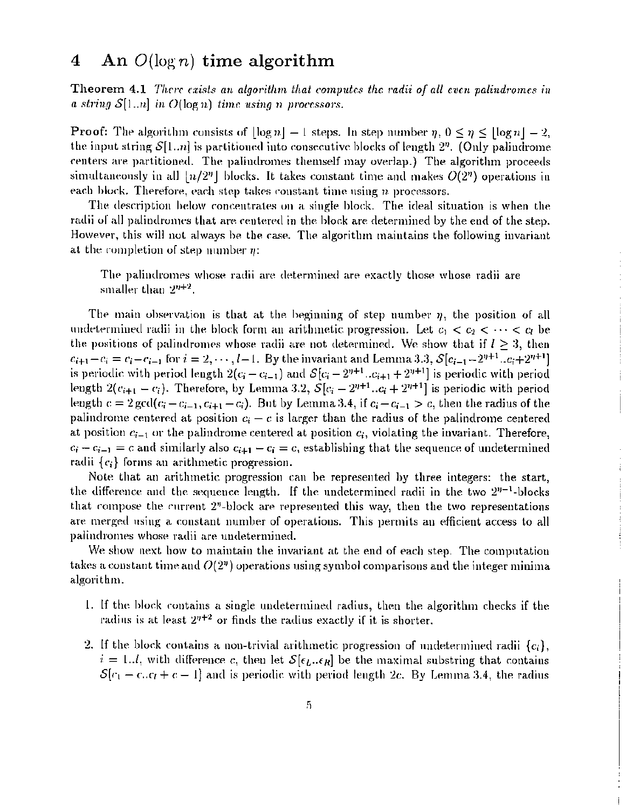#### An  $O(\log n)$  time algorithm  $\overline{\mathbf{4}}$

Theorem 4.1 There exists an algorithm that computes the radii of all even palindromes in a string  $S[1..n]$  in  $O(\log n)$  time using n processors.

**Proof:** The algorithm consists of  $|\log n| - 1$  steps. In step number  $\eta$ ,  $0 \le \eta \le |\log n| - 2$ , the input string  $S[1..n]$  is partitioned into consecutive blocks of length  $2^n$ . (Only palindrome centers are partitioned. The palindromes themself may overlap.) The algorithm proceeds simultaneously in all  $\lfloor n/2^n \rfloor$  blocks. It takes constant time and makes  $O(2^n)$  operations in each block. Therefore, each step takes constant time using  $n$  processors.

The description below concentrates on a single block. The ideal situation is when the radii of all palindromes that are centered in the block are determined by the end of the step. However, this will not always be the case. The algorithm maintains the following invariant at the completion of step number  $\eta$ :

The palindromes whose radii are determined are exactly those whose radii are smaller than  $2^{n+2}$ .

The main observation is that at the beginning of step number  $\eta$ , the position of all undetermined radii in the block form an arithmetic progression. Let  $c_1 < c_2 < \cdots < c_l$  be the positions of palindromes whose radii are not determined. We show that if  $l \geq 3$ , then  $c_{i+1} - c_i = c_i - c_{i-1}$  for  $i = 2, \dots, l-1$ . By the invariant and Lemma 3.3,  $S[c_{i-1} - 2^{n+1} \dots c_i + 2^{n+1}]$ is periodic with period length  $2(c_i - c_{i-1})$  and  $S[c_i - 2^{n+1} \dots c_{i+1} + 2^{n+1}]$  is periodic with period length  $2(c_{i+1}-c_i)$ . Therefore, by Lemma 3.2,  $S[c_i-2^{n+1}..c_i+2^{n+1}]$  is periodic with period length  $c = 2 \gcd(c_i - c_{i-1}, c_{i+1} - c_i)$ . But by Lemma 3.4, if  $c_i - c_{i-1} > c$ , then the radius of the palindrome centered at position  $c_i - c$  is larger than the radius of the palindrome centered at position  $c_{i-1}$  or the palindrome centered at position  $c_i$ , violating the invariant. Therefore,  $c_i - c_{i-1} = c$  and similarly also  $c_{i+1} - c_i = c$ , establishing that the sequence of undetermined radii  $\{c_i\}$  forms an arithmetic progression.

Note that an arithmetic progression can be represented by three integers: the start, the difference and the sequence length. If the undetermined radii in the two  $2^{n-1}$ -blocks that compose the current  $2<sup>n</sup>$ -block are represented this way, then the two representations are merged using a constant number of operations. This permits an efficient access to all palindromes whose radii are undetermined.

We show next how to maintain the invariant at the end of each step. The computation takes a constant time and  $O(2<sup>n</sup>)$  operations using symbol comparisons and the integer minima algorithm.

- 1. If the block contains a single undetermined radius, then the algorithm checks if the radius is at least  $2^{n+2}$  or finds the radius exactly if it is shorter.
- 2. If the block contains a non-trivial arithmetic progression of undetermined radii  $\{c_i\}$ ,  $i=1..l$ , with difference c, then let  $\mathcal{S}[\epsilon_l..\epsilon_R]$  be the maximal substring that contains  $\mathcal{S}[c_1-c,c_1+c-1]$  and is periodic with period length 2c. By Lemma 3.4, the radius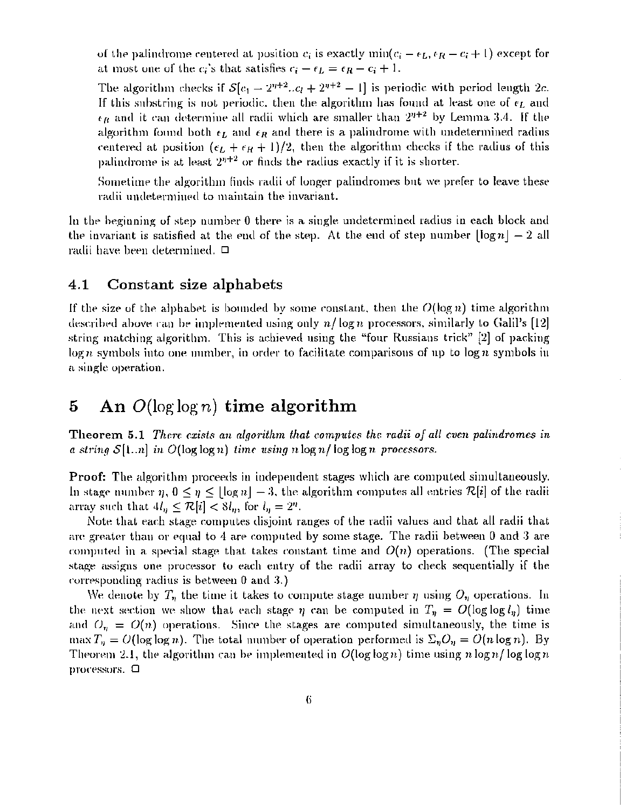of the palindrome centered at position  $c_i$  is exactly min( $c_i - \epsilon_L, \epsilon_R - c_i + 1$ ) except for at most one of the  $c_i$ 's that satisfies  $c_i - \epsilon_L = \epsilon_R - c_i + 1$ .

The algorithm checks if  $S[c_1 - 2^{n+2} \ldots c_l + 2^{n+2} - 1]$  is periodic with period length 2c. If this substring is not periodic, then the algorithm has found at least one of  $\epsilon_L$  and  $\epsilon_B$  and it can determine all radii which are smaller than  $2^{n+2}$  by Lemma 3.4. If the algorithm found both  $\epsilon_L$  and  $\epsilon_R$  and there is a palindrome with undetermined radius centered at position  $(\epsilon_L + \epsilon_R + 1)/2$ , then the algorithm checks if the radius of this palindrome is at least  $2^{n+2}$  or finds the radius exactly if it is shorter.

Sometime the algorithm finds radii of longer palindromes but we prefer to leave these radii undetermined to maintain the invariant.

In the heginning of step number 0 there is a single undetermined radius in each block and the invariant is satisfied at the end of the step. At the end of step number  $\lceil \log n \rceil - 2$  all radii have been determined.  $\Box$ 

### 4.1 Constant size alphabets

If the size of the alphabet is bounded by some constant, then the  $O(\log n)$  time algorithm described above can be implemented using only  $n/\log n$  processors, similarly to Galil's [12] string matching algorithm. This is achieved using the "four Russians trick" [2] of packing  $\log n$  symbols into one number, in order to facilitate comparisons of up to  $\log n$  symbols in a single operation.

## 5 An  $O(\log \log n)$  time algorithm

Theorem 5.1 *There exists an alg01·ithm that computes the mdii of all even palindromes in* a string  $S[1..n]$  in  $O(\log \log n)$  time using n  $\log n / \log \log n$  processors.

Proof: The algorithm proceeds in independent stages which are computed simultaneously. In stage number  $\eta, 0 \leq \eta \leq |\log n| - 3$ , the algorithm computes all entries  $\mathcal{R}[i]$  of the radii array such that  $4l_n \leq \mathcal{R}[i] < 8l_n$ , for  $l_n = 2^n$ .

Note that each stage computes disjoint ranges of the radii values and that all radii that are greater than or equal to 4 are computed by some stage. The radii between 0 and 3 are computed in a special stage that takes constant time and  $O(n)$  operations. (The special stage assigns one processor to each entry of the radii array to check sequentially if the  $\alpha$  corresponding radius is between 0 and 3.)

We denote by  $T_n$  the time it takes to compute stage number  $\eta$  using  $O_n$  operations. In the next section we show that each stage  $\eta$  can be computed in  $T_{\eta} = O(\log \log l_{\eta})$  time and  $O_n = O(n)$  operations. Since the stages are computed simultaneously, the time is max  $T_\eta = O(\log \log n)$ . The total number of operation performed is  $\Sigma_\eta O_\eta = O(n \log n)$ . By Theorem 2.1, the algorithm can be implemented in  $O(\log \log n)$  time using *n* log *n*/log log *n*  $p$ rocessors.  $\Box$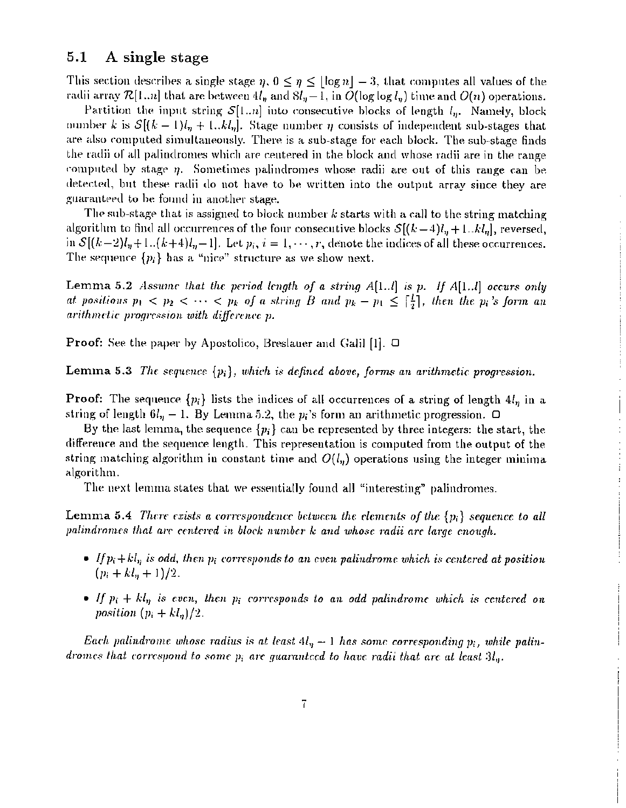#### $5.1$ A single stage

This section describes a single stage  $\eta$ ,  $0 \leq \eta \leq \lfloor \log n \rfloor - 3$ , that computes all values of the radii array  $\mathcal{R}[1..n]$  that are between  $4l_n$  and  $8l_n-1$ , in  $O(\log \log l_n)$  time and  $O(n)$  operations.

Partition the input string  $S[1..n]$  into consecutive blocks of length  $l_n$ . Namely, block number k is  $\mathcal{S}[(k-1)l_{\eta}+1..kl_{\eta}]$ . Stage number  $\eta$  consists of independent sub-stages that are also computed simultaneously. There is a sub-stage for each block. The sub-stage finds the radii of all palindromes which are centered in the block and whose radii are in the range computed by stage  $\eta$ . Sometimes palindromes whose radii are out of this range can be detected, but these radii do not have to be written into the output array since they are guaranteed to be found in another stage.

The sub-stage that is assigned to block number  $k$  starts with a call to the string matching algorithm to find all occurrences of the four consecutive blocks  $\mathcal{S}[(k-4)l_n+1..kl_n]$ , reversed, in  $S[(k-2)l_n+1..(k+4)l_n-1]$ . Let  $p_i, i=1,\dots,r$ , denote the indices of all these occurrences. The sequence  $\{p_i\}$  has a "nice" structure as we show next.

Lemma 5.2 Assume that the period length of a string  $A[1..l]$  is p. If  $A[1..l]$  occurs only at positions  $p_1 < p_2 < \cdots < p_k$  of a string B and  $p_k - p_1 \leq \lceil \frac{l}{2} \rceil$ , then the  $p_i$ 's form an arithmetic progression with difference p.

**Proof:** See the paper by Apostolico, Breslauer and Galil [1].  $\Box$ 

**Lemma 5.3** The sequence  $\{p_i\}$ , which is defined above, forms an arithmetic progression.

**Proof:** The sequence  $\{p_i\}$  lists the indices of all occurrences of a string of length  $4l_n$  in a string of length  $6l<sub>n</sub> - 1$ . By Lemma 5.2, the  $p<sub>i</sub>$ 's form an arithmetic progression.  $\Box$ 

By the last lemma, the sequence  $\{p_i\}$  can be represented by three integers: the start, the difference and the sequence length. This representation is computed from the output of the string matching algorithm in constant time and  $O(l_n)$  operations using the integer minima algorithm.

The next lemma states that we essentially found all "interesting" palindromes.

Lemma 5.4 There exists a correspondence between the elements of the  $\{p_i\}$  sequence to all palindromes that are centered in block number k and whose radii are large enough.

- If  $p_i + k l_n$  is odd, then  $p_i$  corresponds to an even palindrome which is centered at position  $(p_i + kl_n + 1)/2.$
- If  $p_i + kl_n$  is even, then  $p_i$  corresponds to an odd palindrome which is centered on position  $(p_i + kl_n)/2$ .

Each palindrome whose radius is at least  $4l_n-1$  has some corresponding  $p_i$ , while palindromes that correspond to some  $p_i$  are guaranteed to have radii that are at least  $3l_n$ .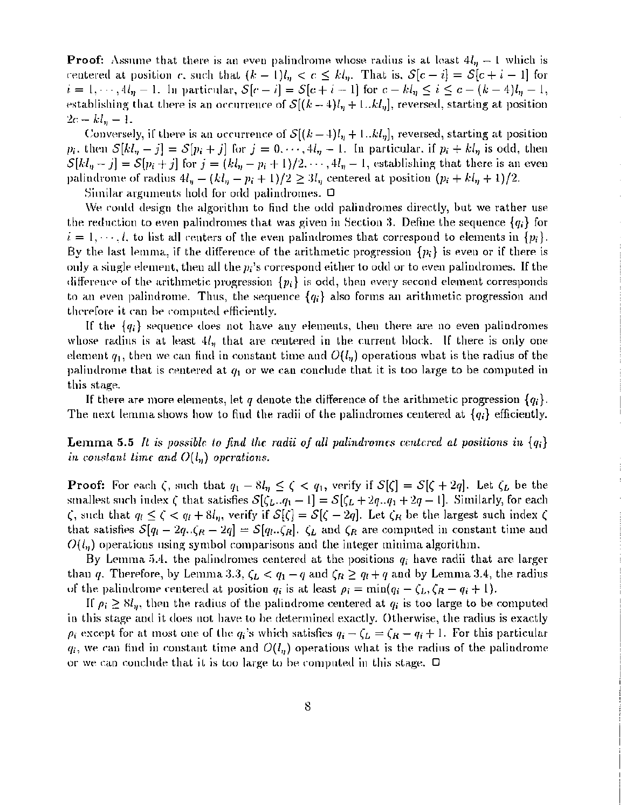**Proof:** Assume that there is an even palindrome whose radius is at least  $4l<sub>n</sub> - 1$  which is centered at position c, such that  $(k-1)l_n < c \le kl_n$ . That is,  $S[c-i] = S[c+i-1]$  for  $i=1,\cdots, 4l_n-1$ . In particular,  $S[c - i] = S[c + i - 1]$  for  $c - kl_n \le i \le c - (k-4)l_n - 1$ , establishing that there is an occurrence of  $S[(k - 4)l_n + 1..kl_n]$ , reversed, starting at position  $2c - k l_n - 1.$ 

Conversely, if there is an occurrence of  $S[(k-4)l<sub>n</sub> + 1..kl<sub>n</sub>]$ , reversed, starting at position  $p_i$ , then  $S[kl_n - j] = S[p_i + j]$  for  $j = 0, \dots, 4l_n - 1$ . In particular, if  $p_i + kl_n$  is odd, then  $S[kl_n-j] = S[p_i+j]$  for  $j = (kl_n - p_i + 1)/2, \dots, 4l_n - 1$ , establishing that there is an even palindrome of radius  $4l_y - (kl_y - p_i + 1)/2 \ge 3l_y$  centered at position  $(p_i + kl_y + 1)/2$ .

Similar arguments hold for orde palindromes.  $\Box$ 

We conld design the algorithm to find the odd palindromes directly, but we rather use the reduction to even palindromes that was given in Section 3. Define the sequence  ${q_i}$  for  $i = 1, \dots, l$ , to list all centers of the even palindromes that correspond to elements in  $\{p_i\}$ . By the last lemma, if the difference of the arithmetic progression *{p;}* is even or if there is only a single element, then all the  $p_i$ 's correspond either to odd or to even palindromes. If the difference of the arithmetic progression  $\{p_i\}$  is odd, then every second element corresponds to an even palindrome. Thus, the sequence *{qi}* also forms an arithmetic progression and therefore it can be computed efficiently.

If the  $\{q_i\}$  sequence does not have any elements, then there are no even palindromes whose radins is at least  $4l<sub>n</sub>$  that are centered in the current block. If there is only one element  $q_1$ , then we can find in constant time and  $O(l_n)$  operations what is the radius of the palindrome that is centered at  $q_1$  or we can conclude that it is too large to be computed in this stage.

If there are more elements, let *q* denote the difference of the arithmetic progression *{q;}.* The next lemma shows how to find the radii of the palindromes centered at *{q;}* efficiently.

**Lemma 5.5** It is possible to find the radii of all palindromes centered at positions in  $\{q_i\}$ *in* constant time and  $O(l_n)$  operations.

**Proof:** For each  $\zeta$ , such that  $q_1 - 8l_n \leq \zeta < q_1$ , verify if  $S[\zeta] = S[\zeta + 2q]$ . Let  $\zeta_L$  be the smallest such index  $\zeta$  that satisfies  $S[\zeta_L . q_1 - 1] = S[\zeta_L + 2q_1 q_1 + 2q_1]$ . Similarly, for each  $\zeta$ , such that  $q_l \leq \zeta < q_l + 8l_{\eta}$ , verify if  $S[\zeta] = S[\zeta - 2q]$ . Let  $\zeta_R$  be the largest such index  $\zeta$ that satisfies  $S[q_l - 2q_{l}, \zeta_R - 2q] = S[q_l, \zeta_R]$ .  $\zeta_L$  and  $\zeta_R$  are computed in constant time and  $O(l_n)$  operations using symbol comparisons and the integer minima algorithm.

By Lemma 5.4. the palindromes centered at the positions  $q_i$  have radii that are larger than q. Therefore, by Lemma 3.3,  $\zeta_L < q_1 - q$  and  $\zeta_R \ge q_l+q$  and by Lemma 3.4, the radius of the palindrome centered at position  $q_i$  is at least  $\rho_i = \min(q_i - \zeta_L, \zeta_R - q_i + 1)$ .

If  $\rho_i \geq \delta l_n$ , then the radius of the palindrome centered at  $q_i$  is too large to be computed in this stage and it does not have to be determined exactly. Otherwise, the radius is exactly  $\rho_i$  except for at most one of the  $q_i$ 's which satisfies  $q_i - \zeta_L = \zeta_R - q_i + 1$ . For this particular  $q_i$ , we can find in constant time and  $O(l_n)$  operations what is the radius of the palindrome or we can conclude that it is too large to be computed in this stage.  $\Box$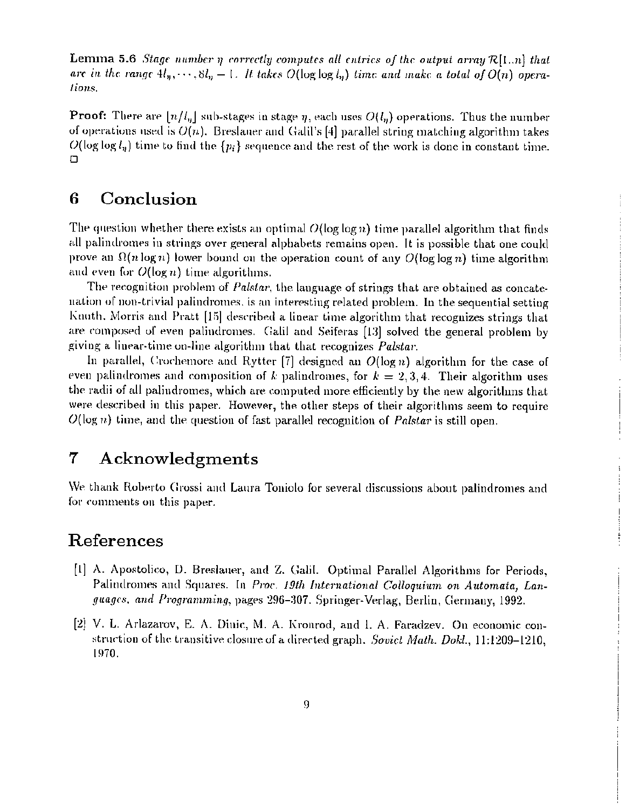**Lemma 5.6** Stage number  $\eta$  correctly computes all entries of the output array  $\mathcal{R}[1..n]$  that are in the range  $4l_n, \dots, 8l_n - 1$ . It takes  $O(\log \log l_n)$  time and make a total of  $O(n)$  operations.

**Proof:** There are  $\lfloor n/l_n \rfloor$  sub-stages in stage  $\eta$ , each uses  $O(l_n)$  operations. Thus the number of operations used is  $O(n)$ . Breslauer and Galil's [4] parallel string matching algorithm takes  $O(\log \log l_n)$  time to find the  $\{p_i\}$  sequence and the rest of the work is done in constant time.  $\Box$ 

#### Conclusion 6

The question whether there exists an optimal  $O(\log \log n)$  time parallel algorithm that finds all palindromes in strings over general alphabets remains open. It is possible that one could prove an  $\Omega(n \log n)$  lower bound on the operation count of any  $O(\log \log n)$  time algorithm and even for  $O(\log n)$  time algorithms.

The recognition problem of *Palstar*, the language of strings that are obtained as concatenation of non-trivial palindromes, is an interesting related problem. In the sequential setting Knuth, Morris and Pratt [15] described a linear time algorithm that recognizes strings that are composed of even palindromes. Galil and Seiferas [13] solved the general problem by giving a linear-time on-line algorithm that that recognizes Palstar.

In parallel, Crochemore and Rytter [7] designed an  $O(\log n)$  algorithm for the case of even palindromes and composition of k palindromes, for  $k = 2, 3, 4$ . Their algorithm uses the radii of all palindromes, which are computed more efficiently by the new algorithms that were described in this paper. However, the other steps of their algorithms seem to require  $O(\log n)$  time, and the question of fast parallel recognition of *Palstar* is still open.

#### $\overline{7}$ Acknowledgments

We thank Roberto Grossi and Laura Toniolo for several discussions about palindromes and for comments on this paper.

### References

- [1] A. Apostolico, D. Breslauer, and Z. Galil. Optimal Parallel Algorithms for Periods, Palindromes and Squares. In Proc. 19th International Colloquium on Automata, Languages, and Programming, pages 296-307. Springer-Verlag, Berlin, Germany, 1992.
- [2] V. L. Arlazarov, E. A. Dinic, M. A. Kronrod, and I. A. Faradzev. On economic construction of the transitive closure of a directed graph. Soviet Math. Dokl., 11:1209-1210. 1970.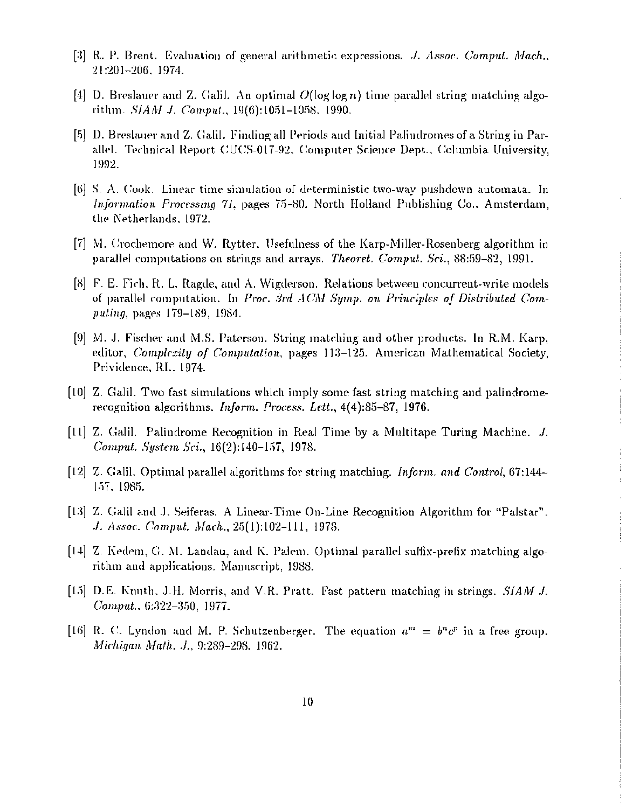- [3] R. P. Brent. Evaluation of general arithmetic expressions. J. Assoc. Comput. Mach., 21:201-206, 1974.
- [4] D. Breslauer and Z. Galil. An optimal  $O(\log \log n)$  time parallel string matching algorithm. SIAM J. Comput., 19(6):1051-1058, 1990.
- [5] D. Breslauer and Z. Galil. Finding all Periods and Initial Palindromes of a String in Parallel. Technical Report CUCS-017-92, Computer Science Dept., Columbia University, 1992.
- [6] S. A. Cook. Linear time simulation of deterministic two-way pushdown automata. In Information Processing 71, pages 75-80. North Holland Publishing Co., Amsterdam, the Netherlands, 1972.
- [7] M. Crochemore and W. Rytter, Usefulness of the Karp-Miller-Rosenberg algorithm in parallel computations on strings and arrays. Theoret. Comput. Sci., 88:59-82, 1991.
- [8] F. E. Fich, R. L. Ragde, and A. Wigderson. Relations between concurrent-write models of parallel computation. In Proc. 3rd  $ACM$  Symp. on Principles of Distributed Computing, pages 179-189, 1984.
- [9] M. J. Fischer and M.S. Paterson. String matching and other products. In R.M. Karp, editor, *Complexity of Computation*, pages 113-125. American Mathematical Society, Prividence, RI., 1974.
- [10] Z. Galil. Two fast simulations which imply some fast string matching and palindromerecognition algorithms. Inform. Process. Lett., 4(4):85-87, 1976.
- [11] Z. Galil. Palindrome Recognition in Real Time by a Multitape Turing Machine. J. Comput. System Sci., 16(2):140-157, 1978.
- [12] Z. Galil, Optimal parallel algorithms for string matching. *Inform. and Control*, 67:144– 157, 1985.

ł

þ

- [13] Z. Galil and J. Seiferas. A Linear-Time On-Line Recognition Algorithm for "Palstar". J. Assoc. Comput. Mach., 25(1):102-111, 1978.
- [14] Z. Kedem, G. M. Landau, and K. Palem. Optimal parallel suffix-prefix matching algorithm and applications. Manuscript, 1988.
- [15] D.E. Knuth, J.H. Morris, and V.R. Pratt. Fast pattern matching in strings. *SIAM J.* Comput., 6:322-350, 1977.
- [16] R. C. Lyndon and M. P. Schutzenberger. The equation  $a^m = b^n c^p$  in a free group. Michigan Math. J., 9:289-298, 1962.